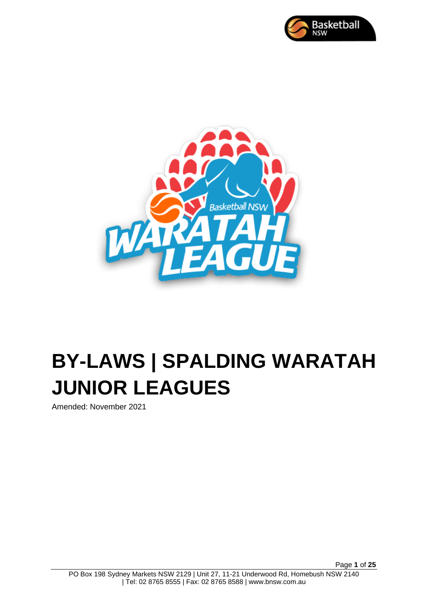



# **BY-LAWS | SPALDING WARATAH JUNIOR LEAGUES**

Amended: November 2021

Page **1** of **25**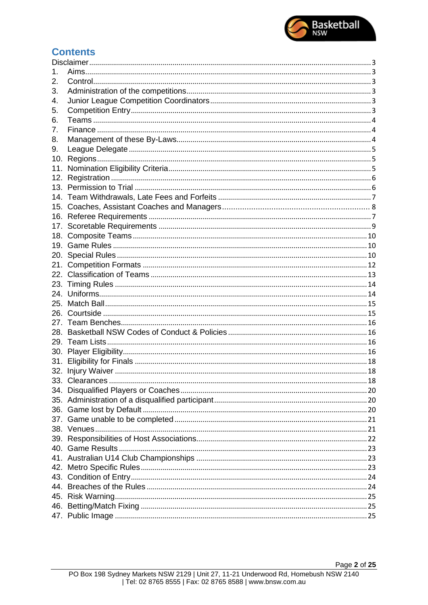

# **Contents**

| 1.  |  |  |  |  |  |
|-----|--|--|--|--|--|
| 2.  |  |  |  |  |  |
| 3.  |  |  |  |  |  |
| 4.  |  |  |  |  |  |
| 5.  |  |  |  |  |  |
| 6.  |  |  |  |  |  |
| 7.  |  |  |  |  |  |
| 8.  |  |  |  |  |  |
| 9.  |  |  |  |  |  |
| 10. |  |  |  |  |  |
| 11. |  |  |  |  |  |
|     |  |  |  |  |  |
|     |  |  |  |  |  |
| 14. |  |  |  |  |  |
| 15. |  |  |  |  |  |
|     |  |  |  |  |  |
| 17. |  |  |  |  |  |
| 18. |  |  |  |  |  |
|     |  |  |  |  |  |
|     |  |  |  |  |  |
| 21. |  |  |  |  |  |
|     |  |  |  |  |  |
|     |  |  |  |  |  |
|     |  |  |  |  |  |
|     |  |  |  |  |  |
|     |  |  |  |  |  |
|     |  |  |  |  |  |
|     |  |  |  |  |  |
|     |  |  |  |  |  |
|     |  |  |  |  |  |
| 31. |  |  |  |  |  |
|     |  |  |  |  |  |
|     |  |  |  |  |  |
|     |  |  |  |  |  |
|     |  |  |  |  |  |
|     |  |  |  |  |  |
|     |  |  |  |  |  |
|     |  |  |  |  |  |
|     |  |  |  |  |  |
|     |  |  |  |  |  |
|     |  |  |  |  |  |
|     |  |  |  |  |  |
|     |  |  |  |  |  |
|     |  |  |  |  |  |
|     |  |  |  |  |  |
|     |  |  |  |  |  |
|     |  |  |  |  |  |
|     |  |  |  |  |  |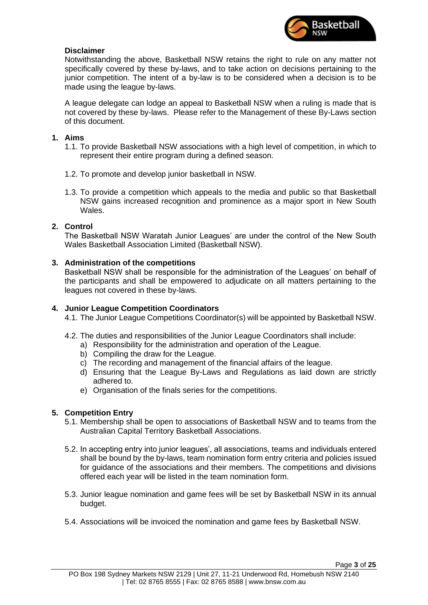

# <span id="page-2-0"></span>**Disclaimer**

Notwithstanding the above, Basketball NSW retains the right to rule on any matter not specifically covered by these by-laws, and to take action on decisions pertaining to the junior competition. The intent of a by-law is to be considered when a decision is to be made using the league by-laws.

A league delegate can lodge an appeal to Basketball NSW when a ruling is made that is not covered by these by-laws. Please refer to the Management of these By-Laws section of this document.

# <span id="page-2-1"></span>**1. Aims**

- 1.1. To provide Basketball NSW associations with a high level of competition, in which to represent their entire program during a defined season.
- 1.2. To promote and develop junior basketball in NSW.
- 1.3. To provide a competition which appeals to the media and public so that Basketball NSW gains increased recognition and prominence as a major sport in New South Wales.

# <span id="page-2-2"></span>**2. Control**

The Basketball NSW Waratah Junior Leagues' are under the control of the New South Wales Basketball Association Limited (Basketball NSW).

# <span id="page-2-3"></span>**3. Administration of the competitions**

Basketball NSW shall be responsible for the administration of the Leagues' on behalf of the participants and shall be empowered to adjudicate on all matters pertaining to the leagues not covered in these by-laws.

# <span id="page-2-4"></span>**4. Junior League Competition Coordinators**

4.1. The Junior League Competitions Coordinator(s) will be appointed by Basketball NSW.

- 4.2. The duties and responsibilities of the Junior League Coordinators shall include:
	- a) Responsibility for the administration and operation of the League.
	- b) Compiling the draw for the League.
	- c) The recording and management of the financial affairs of the league.
	- d) Ensuring that the League By-Laws and Regulations as laid down are strictly adhered to.
	- e) Organisation of the finals series for the competitions.

# <span id="page-2-5"></span>**5. Competition Entry**

- 5.1. Membership shall be open to associations of Basketball NSW and to teams from the Australian Capital Territory Basketball Associations.
- 5.2. In accepting entry into junior leagues', all associations, teams and individuals entered shall be bound by the by-laws, team nomination form entry criteria and policies issued for guidance of the associations and their members. The competitions and divisions offered each year will be listed in the team nomination form.
- 5.3. Junior league nomination and game fees will be set by Basketball NSW in its annual budget.
- 5.4. Associations will be invoiced the nomination and game fees by Basketball NSW.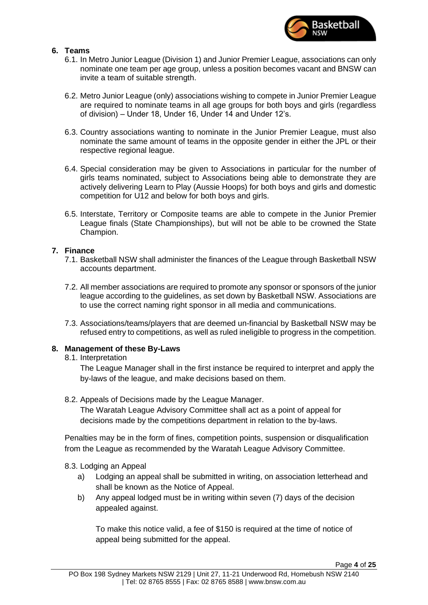

# <span id="page-3-0"></span>**6. Teams**

- 6.1. In Metro Junior League (Division 1) and Junior Premier League, associations can only nominate one team per age group, unless a position becomes vacant and BNSW can invite a team of suitable strength.
- 6.2. Metro Junior League (only) associations wishing to compete in Junior Premier League are required to nominate teams in all age groups for both boys and girls (regardless of division) – Under 18, Under 16, Under 14 and Under 12's.
- 6.3. Country associations wanting to nominate in the Junior Premier League, must also nominate the same amount of teams in the opposite gender in either the JPL or their respective regional league.
- 6.4. Special consideration may be given to Associations in particular for the number of girls teams nominated, subject to Associations being able to demonstrate they are actively delivering Learn to Play (Aussie Hoops) for both boys and girls and domestic competition for U12 and below for both boys and girls.
- 6.5. Interstate, Territory or Composite teams are able to compete in the Junior Premier League finals (State Championships), but will not be able to be crowned the State Champion.

# <span id="page-3-1"></span>**7. Finance**

- 7.1. Basketball NSW shall administer the finances of the League through Basketball NSW accounts department.
- 7.2. All member associations are required to promote any sponsor or sponsors of the junior league according to the guidelines, as set down by Basketball NSW. Associations are to use the correct naming right sponsor in all media and communications.
- 7.3. Associations/teams/players that are deemed un-financial by Basketball NSW may be refused entry to competitions, as well as ruled ineligible to progress in the competition.

# <span id="page-3-2"></span>**8. Management of these By-Laws**

8.1. Interpretation

The League Manager shall in the first instance be required to interpret and apply the by-laws of the league, and make decisions based on them.

8.2. Appeals of Decisions made by the League Manager.

The Waratah League Advisory Committee shall act as a point of appeal for decisions made by the competitions department in relation to the by-laws.

Penalties may be in the form of fines, competition points, suspension or disqualification from the League as recommended by the Waratah League Advisory Committee.

# 8.3. Lodging an Appeal

- a) Lodging an appeal shall be submitted in writing, on association letterhead and shall be known as the Notice of Appeal.
- b) Any appeal lodged must be in writing within seven (7) days of the decision appealed against.

To make this notice valid, a fee of \$150 is required at the time of notice of appeal being submitted for the appeal.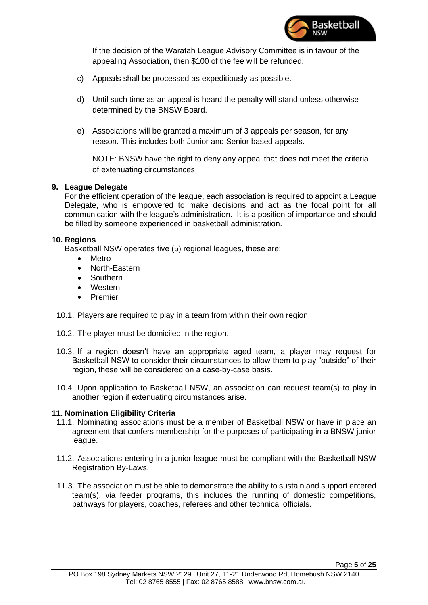

If the decision of the Waratah League Advisory Committee is in favour of the appealing Association, then \$100 of the fee will be refunded.

- c) Appeals shall be processed as expeditiously as possible.
- d) Until such time as an appeal is heard the penalty will stand unless otherwise determined by the BNSW Board.
- e) Associations will be granted a maximum of 3 appeals per season, for any reason. This includes both Junior and Senior based appeals.

NOTE: BNSW have the right to deny any appeal that does not meet the criteria of extenuating circumstances.

# <span id="page-4-0"></span>**9. League Delegate**

For the efficient operation of the league, each association is required to appoint a League Delegate, who is empowered to make decisions and act as the focal point for all communication with the league's administration. It is a position of importance and should be filled by someone experienced in basketball administration.

# <span id="page-4-1"></span>**10. Regions**

Basketball NSW operates five (5) regional leagues, these are:

- Metro
- North-Eastern
- **Southern**
- Western
- Premier
- 10.1. Players are required to play in a team from within their own region.
- 10.2. The player must be domiciled in the region.
- 10.3. If a region doesn't have an appropriate aged team, a player may request for Basketball NSW to consider their circumstances to allow them to play "outside" of their region, these will be considered on a case-by-case basis.
- 10.4. Upon application to Basketball NSW, an association can request team(s) to play in another region if extenuating circumstances arise.

# <span id="page-4-2"></span>**11. Nomination Eligibility Criteria**

- 11.1. Nominating associations must be a member of Basketball NSW or have in place an agreement that confers membership for the purposes of participating in a BNSW junior league.
- 11.2. Associations entering in a junior league must be compliant with the Basketball NSW Registration By-Laws.
- 11.3. The association must be able to demonstrate the ability to sustain and support entered team(s), via feeder programs, this includes the running of domestic competitions, pathways for players, coaches, referees and other technical officials.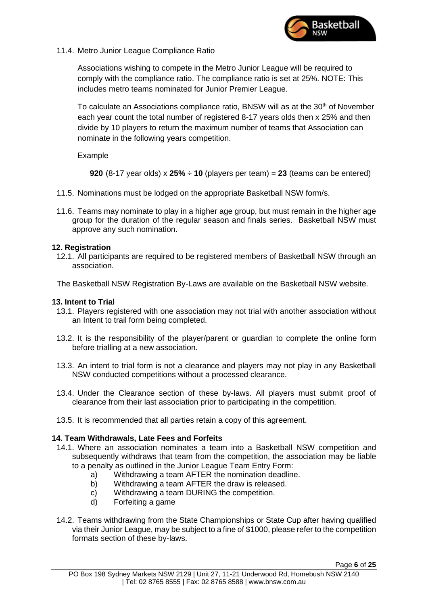

11.4. Metro Junior League Compliance Ratio

Associations wishing to compete in the Metro Junior League will be required to comply with the compliance ratio. The compliance ratio is set at 25%. NOTE: This includes metro teams nominated for Junior Premier League.

To calculate an Associations compliance ratio, BNSW will as at the  $30<sup>th</sup>$  of November each year count the total number of registered 8-17 years olds then x 25% and then divide by 10 players to return the maximum number of teams that Association can nominate in the following years competition.

Example

**920** (8-17 year olds)  $\times$  **25%**  $\div$  **10** (players per team) = **23** (teams can be entered)

- 11.5. Nominations must be lodged on the appropriate Basketball NSW form/s.
- 11.6. Teams may nominate to play in a higher age group, but must remain in the higher age group for the duration of the regular season and finals series. Basketball NSW must approve any such nomination.

# <span id="page-5-0"></span>**12. Registration**

12.1. All participants are required to be registered members of Basketball NSW through an association.

The Basketball NSW Registration By-Laws are available on the Basketball NSW website.

# <span id="page-5-1"></span>**13. Intent to Trial**

- 13.1. Players registered with one association may not trial with another association without an Intent to trail form being completed.
- 13.2. It is the responsibility of the player/parent or guardian to complete the online form before trialling at a new association.
- 13.3. An intent to trial form is not a clearance and players may not play in any Basketball NSW conducted competitions without a processed clearance.
- 13.4. Under the Clearance section of these by-laws. All players must submit proof of clearance from their last association prior to participating in the competition.
- 13.5. It is recommended that all parties retain a copy of this agreement.

# <span id="page-5-2"></span>**14. Team Withdrawals, Late Fees and Forfeits**

- 14.1. Where an association nominates a team into a Basketball NSW competition and subsequently withdraws that team from the competition, the association may be liable to a penalty as outlined in the Junior League Team Entry Form:
	- a) Withdrawing a team AFTER the nomination deadline.
	- b) Withdrawing a team AFTER the draw is released.
	- c) Withdrawing a team DURING the competition.
	- d) Forfeiting a game
- 14.2. Teams withdrawing from the State Championships or State Cup after having qualified via their Junior League, may be subject to a fine of \$1000, please refer to the competition formats section of these by-laws.

Page **6** of **25**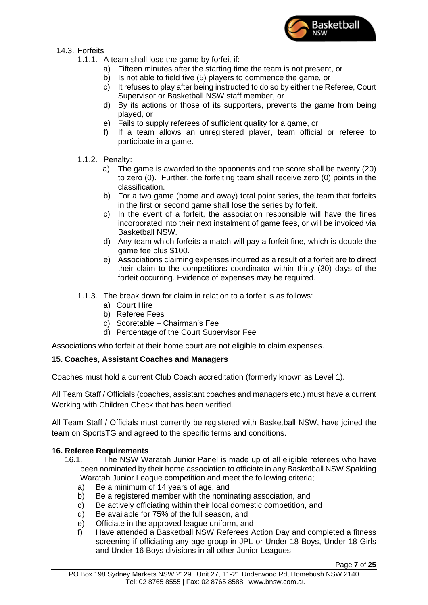

- 14.3. Forfeits
	- 1.1.1. A team shall lose the game by forfeit if:
		- a) Fifteen minutes after the starting time the team is not present, or
		- b) Is not able to field five (5) players to commence the game, or
		- c) It refuses to play after being instructed to do so by either the Referee, Court Supervisor or Basketball NSW staff member, or
		- d) By its actions or those of its supporters, prevents the game from being played, or
		- e) Fails to supply referees of sufficient quality for a game, or
		- f) If a team allows an unregistered player, team official or referee to participate in a game.
	- 1.1.2. Penalty:
		- a) The game is awarded to the opponents and the score shall be twenty (20) to zero (0). Further, the forfeiting team shall receive zero (0) points in the classification.
		- b) For a two game (home and away) total point series, the team that forfeits in the first or second game shall lose the series by forfeit.
		- c) In the event of a forfeit, the association responsible will have the fines incorporated into their next instalment of game fees, or will be invoiced via Basketball NSW.
		- d) Any team which forfeits a match will pay a forfeit fine, which is double the game fee plus \$100.
		- e) Associations claiming expenses incurred as a result of a forfeit are to direct their claim to the competitions coordinator within thirty (30) days of the forfeit occurring. Evidence of expenses may be required.
	- 1.1.3. The break down for claim in relation to a forfeit is as follows:
		- a) Court Hire
		- b) Referee Fees
		- c) Scoretable Chairman's Fee
		- d) Percentage of the Court Supervisor Fee

Associations who forfeit at their home court are not eligible to claim expenses.

# **15. Coaches, Assistant Coaches and Managers**

Coaches must hold a current Club Coach accreditation (formerly known as Level 1).

All Team Staff / Officials (coaches, assistant coaches and managers etc.) must have a current Working with Children Check that has been verified.

All Team Staff / Officials must currently be registered with Basketball NSW, have joined the team on SportsTG and agreed to the specific terms and conditions.

# <span id="page-6-0"></span>**16. Referee Requirements**

- 16.1. The NSW Waratah Junior Panel is made up of all eligible referees who have been nominated by their home association to officiate in any Basketball NSW Spalding Waratah Junior League competition and meet the following criteria;
	- a) Be a minimum of 14 years of age, and
	- b) Be a registered member with the nominating association, and
	- c) Be actively officiating within their local domestic competition, and
	- d) Be available for 75% of the full season, and
	- e) Officiate in the approved league uniform, and
	- f) Have attended a Basketball NSW Referees Action Day and completed a fitness screening if officiating any age group in JPL or Under 18 Boys, Under 18 Girls and Under 16 Boys divisions in all other Junior Leagues.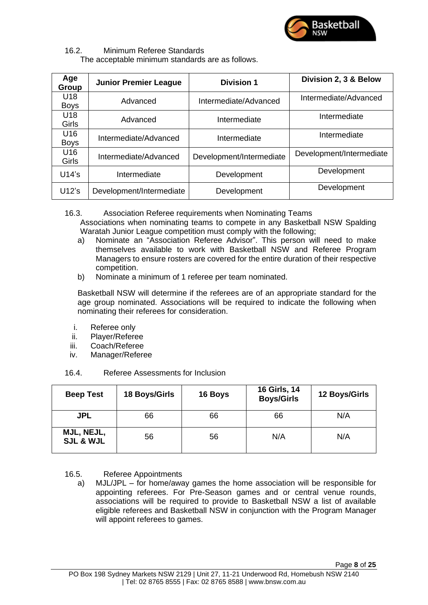

# 16.2. Minimum Referee Standards

The acceptable minimum standards are as follows.

| Age<br>Group        | <b>Junior Premier League</b>          | <b>Division 1</b>        | Division 2, 3 & Below    |
|---------------------|---------------------------------------|--------------------------|--------------------------|
| U18<br><b>Boys</b>  | Advanced                              | Intermediate/Advanced    | Intermediate/Advanced    |
| U18<br><b>Girls</b> | Advanced                              | Intermediate             | Intermediate             |
| U16<br><b>Boys</b>  | Intermediate/Advanced<br>Intermediate |                          | Intermediate             |
| U16<br><b>Girls</b> | Intermediate/Advanced                 | Development/Intermediate | Development/Intermediate |
| U14's               | Intermediate                          | Development              | Development              |
| $U12$ 's            | Development/Intermediate              | Development              | Development              |

16.3. Association Referee requirements when Nominating Teams

Associations when nominating teams to compete in any Basketball NSW Spalding Waratah Junior League competition must comply with the following;

- a) Nominate an "Association Referee Advisor". This person will need to make themselves available to work with Basketball NSW and Referee Program Managers to ensure rosters are covered for the entire duration of their respective competition.
- b) Nominate a minimum of 1 referee per team nominated.

Basketball NSW will determine if the referees are of an appropriate standard for the age group nominated. Associations will be required to indicate the following when nominating their referees for consideration.

- i. Referee only
- ii. Player/Referee
- iii. Coach/Referee
- iv. Manager/Referee

# 16.4. Referee Assessments for Inclusion

| <b>Beep Test</b>                   | 18 Boys/Girls | 16 Boys | 16 Girls, 14<br><b>Boys/Girls</b> | 12 Boys/Girls |
|------------------------------------|---------------|---------|-----------------------------------|---------------|
| <b>JPL</b>                         | 66            | 66      | 66                                | N/A           |
| MJL, NEJL,<br><b>SJL &amp; WJL</b> | 56            | 56      | N/A                               | N/A           |

# 16.5. Referee Appointments

a) MJL/JPL – for home/away games the home association will be responsible for appointing referees. For Pre-Season games and or central venue rounds, associations will be required to provide to Basketball NSW a list of available eligible referees and Basketball NSW in conjunction with the Program Manager will appoint referees to games.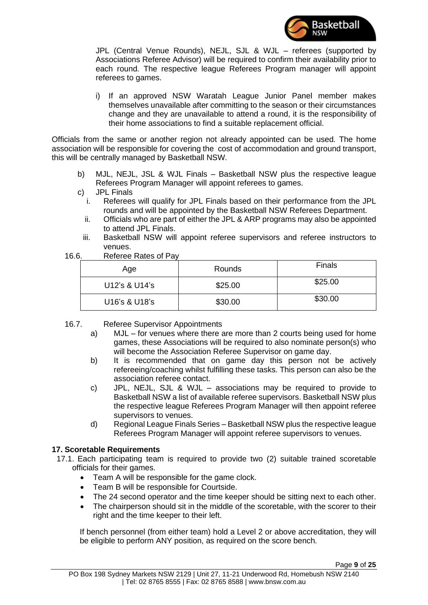

JPL (Central Venue Rounds), NEJL, SJL & WJL – referees (supported by Associations Referee Advisor) will be required to confirm their availability prior to each round. The respective league Referees Program manager will appoint referees to games.

i) If an approved NSW Waratah League Junior Panel member makes themselves unavailable after committing to the season or their circumstances change and they are unavailable to attend a round, it is the responsibility of their home associations to find a suitable replacement official.

Officials from the same or another region not already appointed can be used. The home association will be responsible for covering the cost of accommodation and ground transport, this will be centrally managed by Basketball NSW.

- b) MJL, NEJL, JSL & WJL Finals Basketball NSW plus the respective league Referees Program Manager will appoint referees to games.
- c) JPL Finals
	- i. Referees will qualify for JPL Finals based on their performance from the JPL rounds and will be appointed by the Basketball NSW Referees Department.
	- ii. Officials who are part of either the JPL & ARP programs may also be appointed to attend JPL Finals.
	- iii. Basketball NSW will appoint referee supervisors and referee instructors to venues.
- 16.6. Referee Rates of Pay

| Age           | Rounds  | <b>Finals</b> |
|---------------|---------|---------------|
| U12's & U14's | \$25.00 | \$25.00       |
| U16's & U18's | \$30.00 | \$30.00       |

- 16.7. Referee Supervisor Appointments
	- a) MJL for venues where there are more than 2 courts being used for home games, these Associations will be required to also nominate person(s) who will become the Association Referee Supervisor on game day.
	- b) It is recommended that on game day this person not be actively refereeing/coaching whilst fulfilling these tasks. This person can also be the association referee contact.
	- c) JPL, NEJL, SJL & WJL associations may be required to provide to Basketball NSW a list of available referee supervisors. Basketball NSW plus the respective league Referees Program Manager will then appoint referee supervisors to venues.
	- d) Regional League Finals Series Basketball NSW plus the respective league Referees Program Manager will appoint referee supervisors to venues.

# <span id="page-8-0"></span>**17. Scoretable Requirements**

- 17.1. Each participating team is required to provide two (2) suitable trained scoretable officials for their games.
	- Team A will be responsible for the game clock.
	- Team B will be responsible for Courtside.
	- The 24 second operator and the time keeper should be sitting next to each other.
	- The chairperson should sit in the middle of the scoretable, with the scorer to their right and the time keeper to their left.

If bench personnel (from either team) hold a Level 2 or above accreditation, they will be eligible to perform ANY position, as required on the score bench.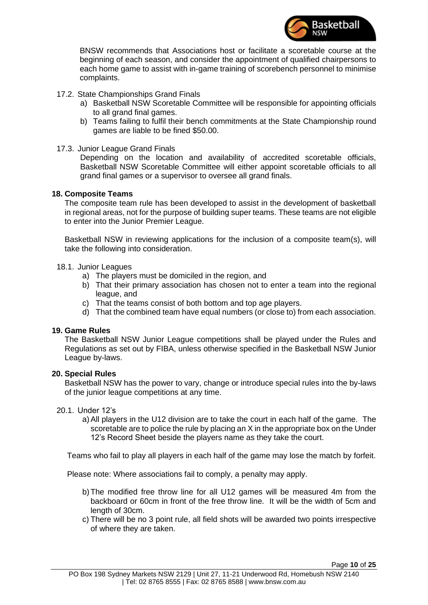

BNSW recommends that Associations host or facilitate a scoretable course at the beginning of each season, and consider the appointment of qualified chairpersons to each home game to assist with in-game training of scorebench personnel to minimise complaints.

- 17.2. State Championships Grand Finals
	- a) Basketball NSW Scoretable Committee will be responsible for appointing officials to all grand final games.
	- b) Teams failing to fulfil their bench commitments at the State Championship round games are liable to be fined \$50.00.
- 17.3. Junior League Grand Finals

Depending on the location and availability of accredited scoretable officials, Basketball NSW Scoretable Committee will either appoint scoretable officials to all grand final games or a supervisor to oversee all grand finals.

# <span id="page-9-0"></span>**18. Composite Teams**

The composite team rule has been developed to assist in the development of basketball in regional areas, not for the purpose of building super teams. These teams are not eligible to enter into the Junior Premier League.

Basketball NSW in reviewing applications for the inclusion of a composite team(s), will take the following into consideration.

# 18.1. Junior Leagues

- a) The players must be domiciled in the region, and
- b) That their primary association has chosen not to enter a team into the regional league, and
- c) That the teams consist of both bottom and top age players.
- d) That the combined team have equal numbers (or close to) from each association.

# <span id="page-9-1"></span>**19. Game Rules**

The Basketball NSW Junior League competitions shall be played under the Rules and Regulations as set out by FIBA, unless otherwise specified in the Basketball NSW Junior League by-laws.

# <span id="page-9-2"></span>**20. Special Rules**

Basketball NSW has the power to vary, change or introduce special rules into the by-laws of the junior league competitions at any time.

# 20.1. Under 12's

a)All players in the U12 division are to take the court in each half of the game. The scoretable are to police the rule by placing an X in the appropriate box on the Under 12's Record Sheet beside the players name as they take the court.

Teams who fail to play all players in each half of the game may lose the match by forfeit.

Please note: Where associations fail to comply, a penalty may apply.

- b)The modified free throw line for all U12 games will be measured 4m from the backboard or 60cm in front of the free throw line. It will be the width of 5cm and length of 30cm.
- c) There will be no 3 point rule, all field shots will be awarded two points irrespective of where they are taken.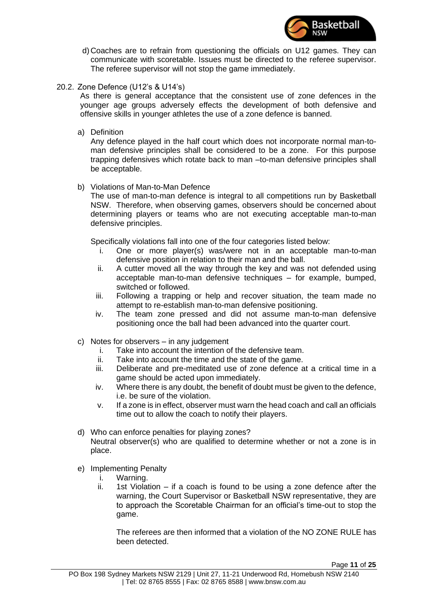

- d) Coaches are to refrain from questioning the officials on U12 games. They can communicate with scoretable. Issues must be directed to the referee supervisor. The referee supervisor will not stop the game immediately.
- 20.2. Zone Defence (U12's & U14's)

As there is general acceptance that the consistent use of zone defences in the younger age groups adversely effects the development of both defensive and offensive skills in younger athletes the use of a zone defence is banned.

a) Definition

Any defence played in the half court which does not incorporate normal man-toman defensive principles shall be considered to be a zone. For this purpose trapping defensives which rotate back to man –to-man defensive principles shall be acceptable.

b) Violations of Man-to-Man Defence

The use of man-to-man defence is integral to all competitions run by Basketball NSW. Therefore, when observing games, observers should be concerned about determining players or teams who are not executing acceptable man-to-man defensive principles.

Specifically violations fall into one of the four categories listed below:

- i. One or more player(s) was/were not in an acceptable man-to-man defensive position in relation to their man and the ball.
- ii. A cutter moved all the way through the key and was not defended using acceptable man-to-man defensive techniques – for example, bumped, switched or followed.
- iii. Following a trapping or help and recover situation, the team made no attempt to re-establish man-to-man defensive positioning.
- iv. The team zone pressed and did not assume man-to-man defensive positioning once the ball had been advanced into the quarter court.
- c) Notes for observers in any judgement
	- i. Take into account the intention of the defensive team.
	- ii. Take into account the time and the state of the game.
	- iii. Deliberate and pre-meditated use of zone defence at a critical time in a game should be acted upon immediately.
	- iv. Where there is any doubt, the benefit of doubt must be given to the defence, i.e. be sure of the violation.
	- v. If a zone is in effect, observer must warn the head coach and call an officials time out to allow the coach to notify their players.
- d) Who can enforce penalties for playing zones? Neutral observer(s) who are qualified to determine whether or not a zone is in place.
- e) Implementing Penalty
	- i. Warning.
	- ii. 1st Violation if a coach is found to be using a zone defence after the warning, the Court Supervisor or Basketball NSW representative, they are to approach the Scoretable Chairman for an official's time-out to stop the game.

The referees are then informed that a violation of the NO ZONE RULE has been detected.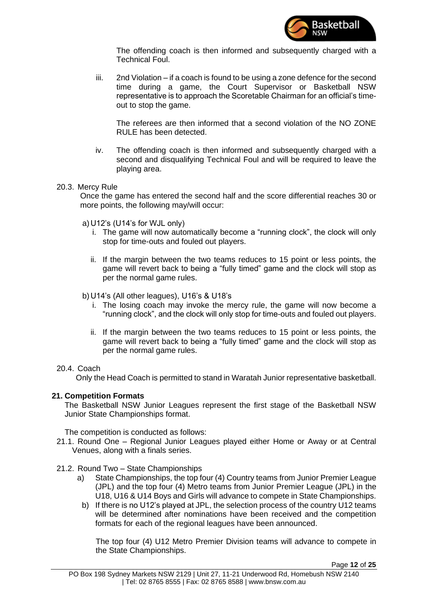

The offending coach is then informed and subsequently charged with a Technical Foul.

iii. 2nd Violation – if a coach is found to be using a zone defence for the second time during a game, the Court Supervisor or Basketball NSW representative is to approach the Scoretable Chairman for an official's timeout to stop the game.

The referees are then informed that a second violation of the NO ZONE RULE has been detected.

iv. The offending coach is then informed and subsequently charged with a second and disqualifying Technical Foul and will be required to leave the playing area.

#### 20.3. Mercy Rule

Once the game has entered the second half and the score differential reaches 30 or more points, the following may/will occur:

- a) U12's (U14's for WJL only)
	- i. The game will now automatically become a "running clock", the clock will only stop for time-outs and fouled out players.
	- ii. If the margin between the two teams reduces to 15 point or less points, the game will revert back to being a "fully timed" game and the clock will stop as per the normal game rules.
- b) U14's (All other leagues), U16's & U18's
	- i. The losing coach may invoke the mercy rule, the game will now become a "running clock", and the clock will only stop for time-outs and fouled out players.
	- ii. If the margin between the two teams reduces to 15 point or less points, the game will revert back to being a "fully timed" game and the clock will stop as per the normal game rules.

#### 20.4. Coach

Only the Head Coach is permitted to stand in Waratah Junior representative basketball.

# <span id="page-11-0"></span>**21. Competition Formats**

The Basketball NSW Junior Leagues represent the first stage of the Basketball NSW Junior State Championships format.

The competition is conducted as follows:

- 21.1. Round One Regional Junior Leagues played either Home or Away or at Central Venues, along with a finals series.
- 21.2. Round Two State Championships
	- a) State Championships, the top four (4) Country teams from Junior Premier League (JPL) and the top four (4) Metro teams from Junior Premier League (JPL) in the U18, U16 & U14 Boys and Girls will advance to compete in State Championships.
		- b) If there is no U12's played at JPL, the selection process of the country U12 teams will be determined after nominations have been received and the competition formats for each of the regional leagues have been announced.

The top four (4) U12 Metro Premier Division teams will advance to compete in the State Championships.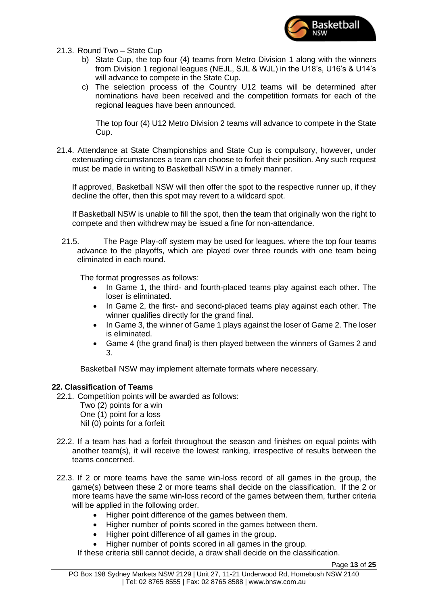

- 21.3. Round Two State Cup
	- b) State Cup, the top four (4) teams from Metro Division 1 along with the winners from Division 1 regional leagues (NEJL, SJL & WJL) in the U18's, U16's & U14's will advance to compete in the State Cup.
	- c) The selection process of the Country U12 teams will be determined after nominations have been received and the competition formats for each of the regional leagues have been announced.

The top four (4) U12 Metro Division 2 teams will advance to compete in the State Cup.

21.4. Attendance at State Championships and State Cup is compulsory, however, under extenuating circumstances a team can choose to forfeit their position. Any such request must be made in writing to Basketball NSW in a timely manner.

If approved, Basketball NSW will then offer the spot to the respective runner up, if they decline the offer, then this spot may revert to a wildcard spot.

If Basketball NSW is unable to fill the spot, then the team that originally won the right to compete and then withdrew may be issued a fine for non-attendance.

21.5. The Page Play-off system may be used for leagues, where the top four teams advance to the playoffs, which are played over three rounds with one team being eliminated in each round.

The format progresses as follows:

- In Game 1, the third- and fourth-placed teams play against each other. The loser is eliminated.
- In Game 2, the first- and second-placed teams play against each other. The winner qualifies directly for the grand final.
- In Game 3, the winner of Game 1 plays against the loser of Game 2. The loser is eliminated.
- Game 4 (the grand final) is then played between the winners of Games 2 and 3.

Basketball NSW may implement alternate formats where necessary.

# <span id="page-12-0"></span>**22. Classification of Teams**

- 22.1. Competition points will be awarded as follows:
	- Two (2) points for a win One (1) point for a loss
	- Nil (0) points for a forfeit
- 22.2. If a team has had a forfeit throughout the season and finishes on equal points with another team(s), it will receive the lowest ranking, irrespective of results between the teams concerned.
- 22.3. If 2 or more teams have the same win-loss record of all games in the group, the game(s) between these 2 or more teams shall decide on the classification. If the 2 or more teams have the same win-loss record of the games between them, further criteria will be applied in the following order.
	- Higher point difference of the games between them.
	- Higher number of points scored in the games between them.
	- Higher point difference of all games in the group.
	- Higher number of points scored in all games in the group.

If these criteria still cannot decide, a draw shall decide on the classification.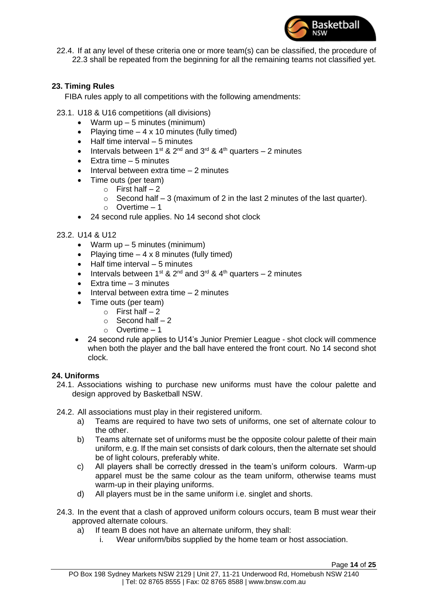

22.4. If at any level of these criteria one or more team(s) can be classified, the procedure of 22.3 shall be repeated from the beginning for all the remaining teams not classified yet.

# **23. Timing Rules**

FIBA rules apply to all competitions with the following amendments:

- 23.1. U18 & U16 competitions (all divisions)
	- Warm  $up 5$  minutes (minimum)
	- Playing time  $-4 \times 10$  minutes (fully timed)
	- Half time interval 5 minutes
	- Intervals between 1<sup>st</sup> & 2<sup>nd</sup> and 3<sup>rd</sup> & 4<sup>th</sup> quarters 2 minutes
	- Extra time  $-5$  minutes
	- Interval between extra time 2 minutes
	- Time outs (per team)
		- $\circ$  First half 2
		- $\circ$  Second half 3 (maximum of 2 in the last 2 minutes of the last quarter).
		- o Overtime 1
	- 24 second rule applies. No 14 second shot clock

#### 23.2. U14 & U12

- Warm  $up 5$  minutes (minimum)
- Playing time  $-4 \times 8$  minutes (fully timed)
- Half time interval 5 minutes
- Intervals between 1<sup>st</sup> & 2<sup>nd</sup> and 3<sup>rd</sup> & 4<sup>th</sup> quarters 2 minutes
- $\bullet$  Extra time  $-3$  minutes
- Interval between extra time 2 minutes
	- Time outs (per team)
		- $\circ$  First half 2
			- $\circ$  Second half 2
			- $\circ$  Overtime 1
- 24 second rule applies to U14's Junior Premier League shot clock will commence when both the player and the ball have entered the front court. No 14 second shot clock.

#### <span id="page-13-0"></span>**24. Uniforms**

24.1. Associations wishing to purchase new uniforms must have the colour palette and design approved by Basketball NSW.

24.2. All associations must play in their registered uniform.

- a) Teams are required to have two sets of uniforms, one set of alternate colour to the other.
- b) Teams alternate set of uniforms must be the opposite colour palette of their main uniform, e.g. If the main set consists of dark colours, then the alternate set should be of light colours, preferably white.
- c) All players shall be correctly dressed in the team's uniform colours. Warm-up apparel must be the same colour as the team uniform, otherwise teams must warm-up in their playing uniforms.
- d) All players must be in the same uniform i.e. singlet and shorts.
- 24.3. In the event that a clash of approved uniform colours occurs, team B must wear their approved alternate colours.
	- a) If team B does not have an alternate uniform, they shall:
		- i. Wear uniform/bibs supplied by the home team or host association.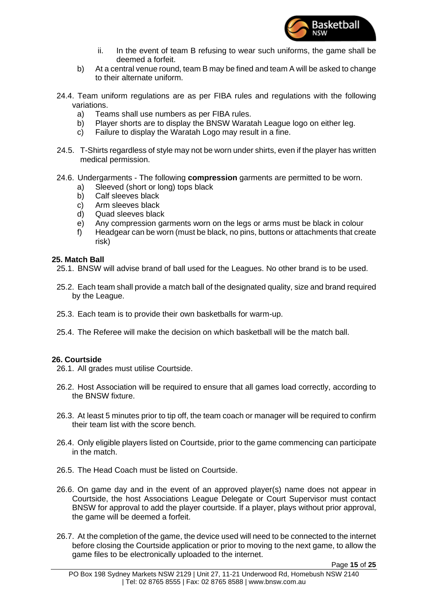

- ii. In the event of team B refusing to wear such uniforms, the game shall be deemed a forfeit.
- b) At a central venue round, team B may be fined and team A will be asked to change to their alternate uniform.
- 24.4. Team uniform regulations are as per FIBA rules and regulations with the following variations.
	- a) Teams shall use numbers as per FIBA rules.
	- b) Player shorts are to display the BNSW Waratah League logo on either leg.
	- c) Failure to display the Waratah Logo may result in a fine.
- 24.5. T-Shirts regardless of style may not be worn under shirts, even if the player has written medical permission.
- 24.6. Undergarments The following **compression** garments are permitted to be worn.
	- a) Sleeved (short or long) tops black
	- b) Calf sleeves black
	- c) Arm sleeves black
	- d) Quad sleeves black
	- e) Any compression garments worn on the legs or arms must be black in colour
	- f) Headgear can be worn (must be black, no pins, buttons or attachments that create risk)

#### <span id="page-14-0"></span>**25. Match Ball**

- 25.1. BNSW will advise brand of ball used for the Leagues. No other brand is to be used.
- 25.2. Each team shall provide a match ball of the designated quality, size and brand required by the League.
- 25.3. Each team is to provide their own basketballs for warm-up.
- 25.4. The Referee will make the decision on which basketball will be the match ball.

# **26. Courtside**

26.1. All grades must utilise Courtside.

- 26.2. Host Association will be required to ensure that all games load correctly, according to the BNSW fixture.
- 26.3. At least 5 minutes prior to tip off, the team coach or manager will be required to confirm their team list with the score bench.
- 26.4. Only eligible players listed on Courtside, prior to the game commencing can participate in the match.
- 26.5. The Head Coach must be listed on Courtside.
- 26.6. On game day and in the event of an approved player(s) name does not appear in Courtside, the host Associations League Delegate or Court Supervisor must contact BNSW for approval to add the player courtside. If a player, plays without prior approval, the game will be deemed a forfeit.
- 26.7. At the completion of the game, the device used will need to be connected to the internet before closing the Courtside application or prior to moving to the next game, to allow the game files to be electronically uploaded to the internet.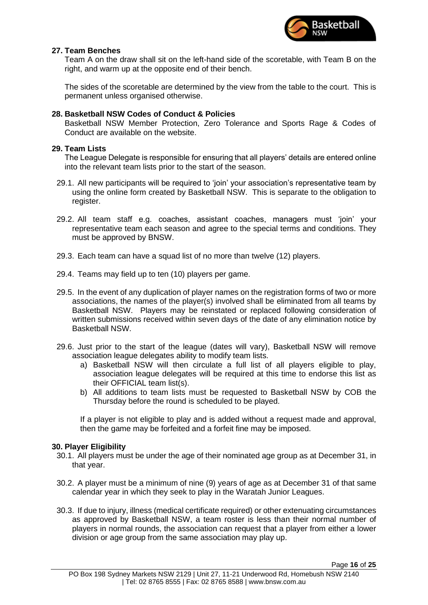

# <span id="page-15-0"></span>**27. Team Benches**

Team A on the draw shall sit on the left-hand side of the scoretable, with Team B on the right, and warm up at the opposite end of their bench.

The sides of the scoretable are determined by the view from the table to the court. This is permanent unless organised otherwise.

# <span id="page-15-1"></span>**28. Basketball NSW Codes of Conduct & Policies**

Basketball NSW Member Protection, Zero Tolerance and Sports Rage & Codes of Conduct are available on the website.

# <span id="page-15-2"></span>**29. Team Lists**

The League Delegate is responsible for ensuring that all players' details are entered online into the relevant team lists prior to the start of the season.

- 29.1. All new participants will be required to 'join' your association's representative team by using the online form created by Basketball NSW. This is separate to the obligation to register.
- 29.2. All team staff e.g. coaches, assistant coaches, managers must 'join' your representative team each season and agree to the special terms and conditions. They must be approved by BNSW.
- 29.3. Each team can have a squad list of no more than twelve (12) players.
- 29.4. Teams may field up to ten (10) players per game.
- 29.5. In the event of any duplication of player names on the registration forms of two or more associations, the names of the player(s) involved shall be eliminated from all teams by Basketball NSW. Players may be reinstated or replaced following consideration of written submissions received within seven days of the date of any elimination notice by Basketball NSW.
- 29.6. Just prior to the start of the league (dates will vary), Basketball NSW will remove association league delegates ability to modify team lists.
	- a) Basketball NSW will then circulate a full list of all players eligible to play, association league delegates will be required at this time to endorse this list as their OFFICIAL team list(s).
	- b) All additions to team lists must be requested to Basketball NSW by COB the Thursday before the round is scheduled to be played.

If a player is not eligible to play and is added without a request made and approval, then the game may be forfeited and a forfeit fine may be imposed.

# <span id="page-15-3"></span>**30. Player Eligibility**

- 30.1. All players must be under the age of their nominated age group as at December 31, in that year.
- 30.2. A player must be a minimum of nine (9) years of age as at December 31 of that same calendar year in which they seek to play in the Waratah Junior Leagues.
- 30.3. If due to injury, illness (medical certificate required) or other extenuating circumstances as approved by Basketball NSW, a team roster is less than their normal number of players in normal rounds, the association can request that a player from either a lower division or age group from the same association may play up.

Page **16** of **25**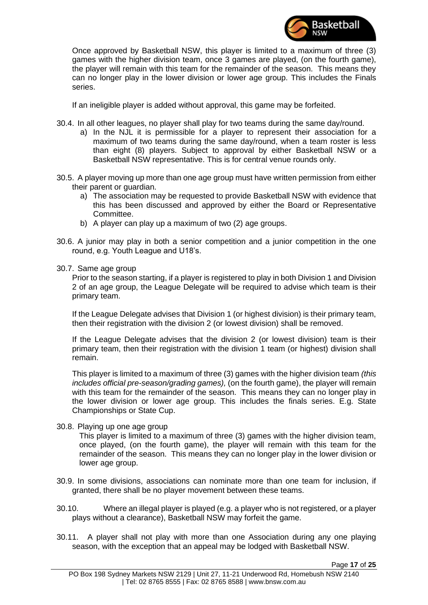

Once approved by Basketball NSW, this player is limited to a maximum of three (3) games with the higher division team, once 3 games are played, (on the fourth game), the player will remain with this team for the remainder of the season. This means they can no longer play in the lower division or lower age group. This includes the Finals series.

If an ineligible player is added without approval, this game may be forfeited.

- 30.4. In all other leagues, no player shall play for two teams during the same day/round.
	- a) In the NJL it is permissible for a player to represent their association for a maximum of two teams during the same day/round, when a team roster is less than eight (8) players. Subject to approval by either Basketball NSW or a Basketball NSW representative. This is for central venue rounds only.
- 30.5. A player moving up more than one age group must have written permission from either their parent or guardian.
	- a) The association may be requested to provide Basketball NSW with evidence that this has been discussed and approved by either the Board or Representative Committee.
	- b) A player can play up a maximum of two (2) age groups.
- 30.6. A junior may play in both a senior competition and a junior competition in the one round, e.g. Youth League and U18's.
- 30.7. Same age group

Prior to the season starting, if a player is registered to play in both Division 1 and Division 2 of an age group, the League Delegate will be required to advise which team is their primary team.

If the League Delegate advises that Division 1 (or highest division) is their primary team, then their registration with the division 2 (or lowest division) shall be removed.

If the League Delegate advises that the division 2 (or lowest division) team is their primary team, then their registration with the division 1 team (or highest) division shall remain.

This player is limited to a maximum of three (3) games with the higher division team *(this includes official pre-season/grading games),* (on the fourth game), the player will remain with this team for the remainder of the season. This means they can no longer play in the lower division or lower age group. This includes the finals series. E.g. State Championships or State Cup.

30.8. Playing up one age group

This player is limited to a maximum of three (3) games with the higher division team, once played, (on the fourth game), the player will remain with this team for the remainder of the season. This means they can no longer play in the lower division or lower age group.

- 30.9. In some divisions, associations can nominate more than one team for inclusion, if granted, there shall be no player movement between these teams.
- 30.10. Where an illegal player is played (e.g. a player who is not registered, or a player plays without a clearance), Basketball NSW may forfeit the game.
- 30.11. A player shall not play with more than one Association during any one playing season, with the exception that an appeal may be lodged with Basketball NSW.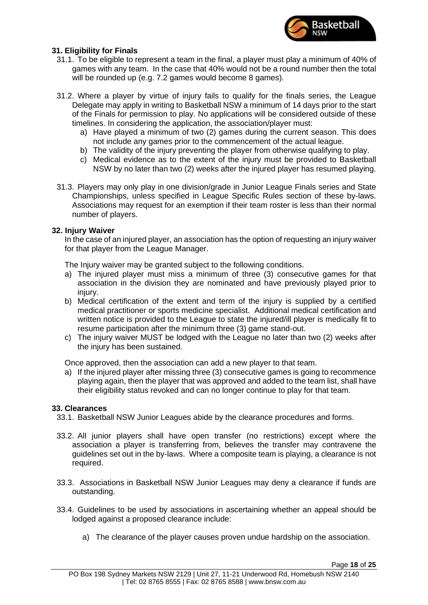

# <span id="page-17-0"></span>**31. Eligibility for Finals**

- 31.1. To be eligible to represent a team in the final, a player must play a minimum of 40% of games with any team. In the case that 40% would not be a round number then the total will be rounded up (e.g. 7.2 games would become 8 games).
- 31.2. Where a player by virtue of injury fails to qualify for the finals series, the League Delegate may apply in writing to Basketball NSW a minimum of 14 days prior to the start of the Finals for permission to play. No applications will be considered outside of these timelines. In considering the application, the association/player must:
	- a) Have played a minimum of two (2) games during the current season. This does not include any games prior to the commencement of the actual league.
	- b) The validity of the injury preventing the player from otherwise qualifying to play.
	- c) Medical evidence as to the extent of the injury must be provided to Basketball NSW by no later than two (2) weeks after the injured player has resumed playing.
- 31.3. Players may only play in one division/grade in Junior League Finals series and State Championships, unless specified in League Specific Rules section of these by-laws. Associations may request for an exemption if their team roster is less than their normal number of players.

# <span id="page-17-1"></span>**32. Injury Waiver**

In the case of an injured player, an association has the option of requesting an injury waiver for that player from the League Manager.

The Injury waiver may be granted subject to the following conditions.

- a) The injured player must miss a minimum of three (3) consecutive games for that association in the division they are nominated and have previously played prior to injury.
- b) Medical certification of the extent and term of the injury is supplied by a certified medical practitioner or sports medicine specialist. Additional medical certification and written notice is provided to the League to state the injured/ill player is medically fit to resume participation after the minimum three (3) game stand-out.
- c) The injury waiver MUST be lodged with the League no later than two (2) weeks after the injury has been sustained.

Once approved, then the association can add a new player to that team.

a) If the injured player after missing three (3) consecutive games is going to recommence playing again, then the player that was approved and added to the team list, shall have their eligibility status revoked and can no longer continue to play for that team.

# <span id="page-17-2"></span>**33. Clearances**

- 33.1. Basketball NSW Junior Leagues abide by the clearance procedures and forms.
- 33.2. All junior players shall have open transfer (no restrictions) except where the association a player is transferring from, believes the transfer may contravene the guidelines set out in the by-laws. Where a composite team is playing, a clearance is not required.
- 33.3. Associations in Basketball NSW Junior Leagues may deny a clearance if funds are outstanding.
- 33.4. Guidelines to be used by associations in ascertaining whether an appeal should be lodged against a proposed clearance include:
	- a) The clearance of the player causes proven undue hardship on the association.

Page **18** of **25**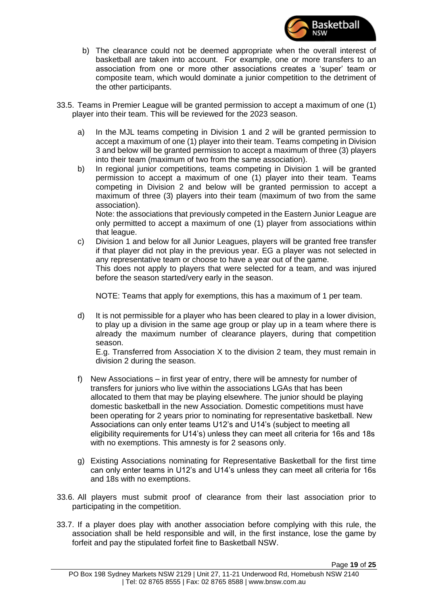

- b) The clearance could not be deemed appropriate when the overall interest of basketball are taken into account. For example, one or more transfers to an association from one or more other associations creates a 'super' team or composite team, which would dominate a junior competition to the detriment of the other participants.
- 33.5. Teams in Premier League will be granted permission to accept a maximum of one (1) player into their team. This will be reviewed for the 2023 season.
	- a) In the MJL teams competing in Division 1 and 2 will be granted permission to accept a maximum of one (1) player into their team. Teams competing in Division 3 and below will be granted permission to accept a maximum of three (3) players into their team (maximum of two from the same association).
	- b) In regional junior competitions, teams competing in Division 1 will be granted permission to accept a maximum of one (1) player into their team. Teams competing in Division 2 and below will be granted permission to accept a maximum of three (3) players into their team (maximum of two from the same association).

Note: the associations that previously competed in the Eastern Junior League are only permitted to accept a maximum of one (1) player from associations within that league.

c) Division 1 and below for all Junior Leagues, players will be granted free transfer if that player did not play in the previous year. EG a player was not selected in any representative team or choose to have a year out of the game. This does not apply to players that were selected for a team, and was injured before the season started/very early in the season.

NOTE: Teams that apply for exemptions, this has a maximum of 1 per team.

d) It is not permissible for a player who has been cleared to play in a lower division, to play up a division in the same age group or play up in a team where there is already the maximum number of clearance players, during that competition season.

E.g. Transferred from Association X to the division 2 team, they must remain in division 2 during the season.

- f) New Associations in first year of entry, there will be amnesty for number of transfers for juniors who live within the associations LGAs that has been allocated to them that may be playing elsewhere. The junior should be playing domestic basketball in the new Association. Domestic competitions must have been operating for 2 years prior to nominating for representative basketball. New Associations can only enter teams U12's and U14's (subject to meeting all eligibility requirements for U14's) unless they can meet all criteria for 16s and 18s with no exemptions. This amnesty is for 2 seasons only.
- g) Existing Associations nominating for Representative Basketball for the first time can only enter teams in U12's and U14's unless they can meet all criteria for 16s and 18s with no exemptions.
- 33.6. All players must submit proof of clearance from their last association prior to participating in the competition.
- 33.7. If a player does play with another association before complying with this rule, the association shall be held responsible and will, in the first instance, lose the game by forfeit and pay the stipulated forfeit fine to Basketball NSW.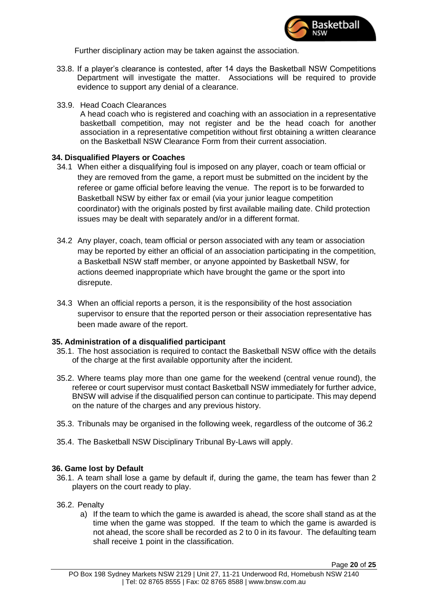

Further disciplinary action may be taken against the association.

- 33.8. If a player's clearance is contested, after 14 days the Basketball NSW Competitions Department will investigate the matter. Associations will be required to provide evidence to support any denial of a clearance.
- 33.9. Head Coach Clearances

A head coach who is registered and coaching with an association in a representative basketball competition, may not register and be the head coach for another association in a representative competition without first obtaining a written clearance on the Basketball NSW Clearance Form from their current association.

# <span id="page-19-0"></span>**34. Disqualified Players or Coaches**

- 34.1 When either a disqualifying foul is imposed on any player, coach or team official or they are removed from the game, a report must be submitted on the incident by the referee or game official before leaving the venue. The report is to be forwarded to Basketball NSW by either fax or email (via your junior league competition coordinator) with the originals posted by first available mailing date. Child protection issues may be dealt with separately and/or in a different format.
- 34.2 Any player, coach, team official or person associated with any team or association may be reported by either an official of an association participating in the competition, a Basketball NSW staff member, or anyone appointed by Basketball NSW, for actions deemed inappropriate which have brought the game or the sport into disrepute.
- 34.3 When an official reports a person, it is the responsibility of the host association supervisor to ensure that the reported person or their association representative has been made aware of the report.

# <span id="page-19-1"></span>**35. Administration of a disqualified participant**

- 35.1. The host association is required to contact the Basketball NSW office with the details of the charge at the first available opportunity after the incident.
- 35.2. Where teams play more than one game for the weekend (central venue round), the referee or court supervisor must contact Basketball NSW immediately for further advice, BNSW will advise if the disqualified person can continue to participate. This may depend on the nature of the charges and any previous history.
- 35.3. Tribunals may be organised in the following week, regardless of the outcome of 36.2
- 35.4. The Basketball NSW Disciplinary Tribunal By-Laws will apply.

# <span id="page-19-2"></span>**36. Game lost by Default**

- 36.1. A team shall lose a game by default if, during the game, the team has fewer than 2 players on the court ready to play.
- 36.2. Penalty
	- a) If the team to which the game is awarded is ahead, the score shall stand as at the time when the game was stopped. If the team to which the game is awarded is not ahead, the score shall be recorded as 2 to 0 in its favour. The defaulting team shall receive 1 point in the classification.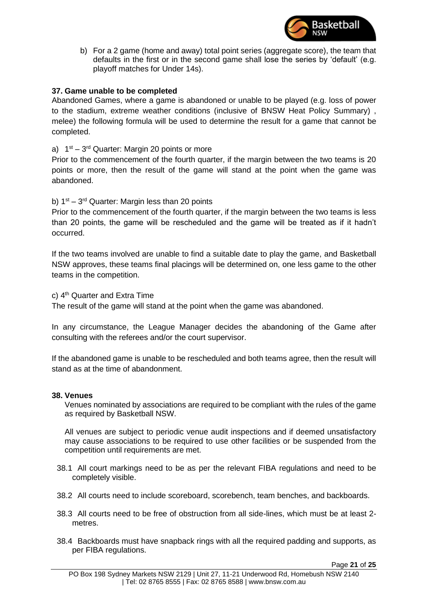

b) For a 2 game (home and away) total point series (aggregate score), the team that defaults in the first or in the second game shall lose the series by 'default' (e.g. playoff matches for Under 14s).

# <span id="page-20-0"></span>**37. Game unable to be completed**

Abandoned Games, where a game is abandoned or unable to be played (e.g. loss of power to the stadium, extreme weather conditions (inclusive of BNSW Heat Policy Summary) , melee) the following formula will be used to determine the result for a game that cannot be completed.

# a)  $1<sup>st</sup> - 3<sup>rd</sup>$  Quarter: Margin 20 points or more

Prior to the commencement of the fourth quarter, if the margin between the two teams is 20 points or more, then the result of the game will stand at the point when the game was abandoned.

b)  $1<sup>st</sup> - 3<sup>rd</sup>$  Quarter: Margin less than 20 points

Prior to the commencement of the fourth quarter, if the margin between the two teams is less than 20 points, the game will be rescheduled and the game will be treated as if it hadn't occurred.

If the two teams involved are unable to find a suitable date to play the game, and Basketball NSW approves, these teams final placings will be determined on, one less game to the other teams in the competition.

c)  $4<sup>th</sup>$  Quarter and Extra Time

The result of the game will stand at the point when the game was abandoned.

In any circumstance, the League Manager decides the abandoning of the Game after consulting with the referees and/or the court supervisor.

If the abandoned game is unable to be rescheduled and both teams agree, then the result will stand as at the time of abandonment.

#### <span id="page-20-1"></span>**38. Venues**

Venues nominated by associations are required to be compliant with the rules of the game as required by Basketball NSW.

All venues are subject to periodic venue audit inspections and if deemed unsatisfactory may cause associations to be required to use other facilities or be suspended from the competition until requirements are met.

- 38.1 All court markings need to be as per the relevant FIBA regulations and need to be completely visible.
- 38.2 All courts need to include scoreboard, scorebench, team benches, and backboards.
- 38.3 All courts need to be free of obstruction from all side-lines, which must be at least 2 metres.
- 38.4 Backboards must have snapback rings with all the required padding and supports, as per FIBA regulations.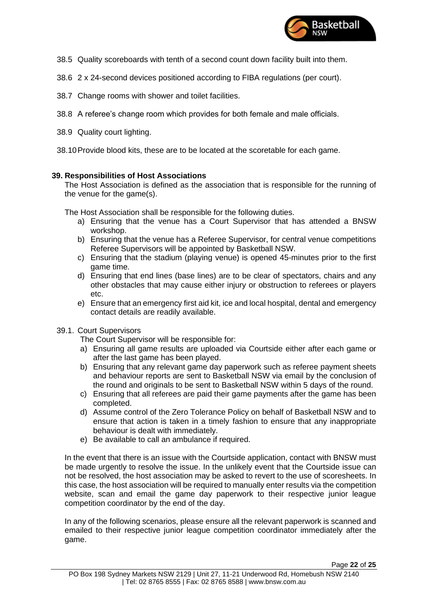

- 38.5 Quality scoreboards with tenth of a second count down facility built into them.
- 38.6 2 x 24-second devices positioned according to FIBA regulations (per court).
- 38.7 Change rooms with shower and toilet facilities.
- 38.8 A referee's change room which provides for both female and male officials.
- 38.9 Quality court lighting.

38.10Provide blood kits, these are to be located at the scoretable for each game.

# <span id="page-21-0"></span>**39. Responsibilities of Host Associations**

The Host Association is defined as the association that is responsible for the running of the venue for the game(s).

The Host Association shall be responsible for the following duties.

- a) Ensuring that the venue has a Court Supervisor that has attended a BNSW workshop.
- b) Ensuring that the venue has a Referee Supervisor, for central venue competitions Referee Supervisors will be appointed by Basketball NSW.
- c) Ensuring that the stadium (playing venue) is opened 45-minutes prior to the first game time.
- d) Ensuring that end lines (base lines) are to be clear of spectators, chairs and any other obstacles that may cause either injury or obstruction to referees or players etc.
- e) Ensure that an emergency first aid kit, ice and local hospital, dental and emergency contact details are readily available.
- 39.1. Court Supervisors

The Court Supervisor will be responsible for:

- a) Ensuring all game results are uploaded via Courtside either after each game or after the last game has been played.
- b) Ensuring that any relevant game day paperwork such as referee payment sheets and behaviour reports are sent to Basketball NSW via email by the conclusion of the round and originals to be sent to Basketball NSW within 5 days of the round.
- c) Ensuring that all referees are paid their game payments after the game has been completed.
- d) Assume control of the Zero Tolerance Policy on behalf of Basketball NSW and to ensure that action is taken in a timely fashion to ensure that any inappropriate behaviour is dealt with immediately.
- e) Be available to call an ambulance if required.

In the event that there is an issue with the Courtside application, contact with BNSW must be made urgently to resolve the issue. In the unlikely event that the Courtside issue can not be resolved, the host association may be asked to revert to the use of scoresheets. In this case, the host association will be required to manually enter results via the competition website, scan and email the game day paperwork to their respective junior league competition coordinator by the end of the day.

In any of the following scenarios, please ensure all the relevant paperwork is scanned and emailed to their respective junior league competition coordinator immediately after the game.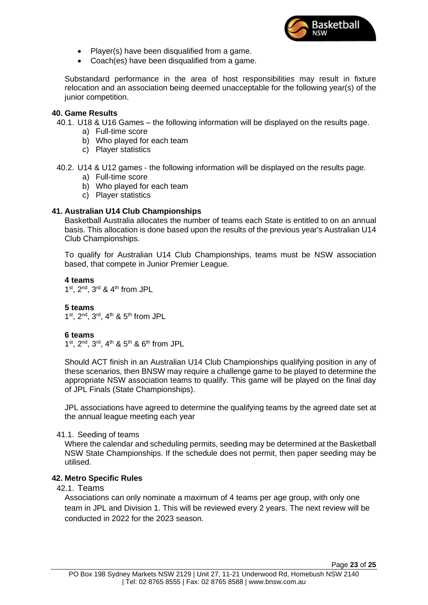

- Player(s) have been disqualified from a game.
- Coach(es) have been disqualified from a game.

Substandard performance in the area of host responsibilities may result in fixture relocation and an association being deemed unacceptable for the following year(s) of the junior competition.

### <span id="page-22-0"></span>**40. Game Results**

40.1. U18 & U16 Games – the following information will be displayed on the results page.

- a) Full-time score
- b) Who played for each team
- c) Player statistics
- 40.2. U14 & U12 games the following information will be displayed on the results page.
	- a) Full-time score
	- b) Who played for each team
	- c) Player statistics

# <span id="page-22-1"></span>**41. Australian U14 Club Championships**

Basketball Australia allocates the number of teams each State is entitled to on an annual basis. This allocation is done based upon the results of the previous year's Australian U14 Club Championships.

To qualify for Australian U14 Club Championships, teams must be NSW association based, that compete in Junior Premier League.

**4 teams**  $1<sup>st</sup>$ ,  $2<sup>nd</sup>$ ,  $3<sup>rd</sup>$  &  $4<sup>th</sup>$  from JPL

# **5 teams**

1<sup>st</sup>, 2<sup>nd</sup>, 3<sup>rd</sup>, 4<sup>th</sup> & 5<sup>th</sup> from JPL

#### **6 teams**

1<sup>st</sup>, 2<sup>nd</sup>, 3<sup>rd</sup>, 4<sup>th</sup> & 5<sup>th</sup> & 6<sup>th</sup> from JPL

Should ACT finish in an Australian U14 Club Championships qualifying position in any of these scenarios, then BNSW may require a challenge game to be played to determine the appropriate NSW association teams to qualify. This game will be played on the final day of JPL Finals (State Championships).

JPL associations have agreed to determine the qualifying teams by the agreed date set at the annual league meeting each year

#### 41.1. Seeding of teams

Where the calendar and scheduling permits, seeding may be determined at the Basketball NSW State Championships. If the schedule does not permit, then paper seeding may be utilised.

# <span id="page-22-2"></span>**42. Metro Specific Rules**

# 42.1. Teams

Associations can only nominate a maximum of 4 teams per age group, with only one team in JPL and Division 1. This will be reviewed every 2 years. The next review will be conducted in 2022 for the 2023 season.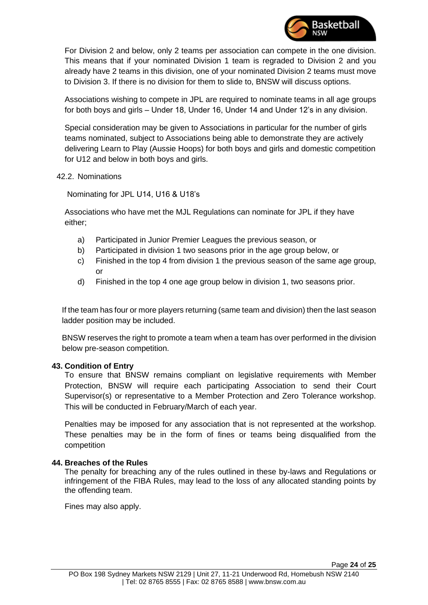

For Division 2 and below, only 2 teams per association can compete in the one division. This means that if your nominated Division 1 team is regraded to Division 2 and you already have 2 teams in this division, one of your nominated Division 2 teams must move to Division 3. If there is no division for them to slide to, BNSW will discuss options.

Associations wishing to compete in JPL are required to nominate teams in all age groups for both boys and girls – Under 18, Under 16, Under 14 and Under 12's in any division.

Special consideration may be given to Associations in particular for the number of girls teams nominated, subject to Associations being able to demonstrate they are actively delivering Learn to Play (Aussie Hoops) for both boys and girls and domestic competition for U12 and below in both boys and girls.

# 42.2. Nominations

Nominating for JPL U14, U16 & U18's

Associations who have met the MJL Regulations can nominate for JPL if they have either;

- a) Participated in Junior Premier Leagues the previous season, or
- b) Participated in division 1 two seasons prior in the age group below, or
- c) Finished in the top 4 from division 1 the previous season of the same age group, or
- d) Finished in the top 4 one age group below in division 1, two seasons prior.

If the team has four or more players returning (same team and division) then the last season ladder position may be included.

BNSW reserves the right to promote a team when a team has over performed in the division below pre-season competition.

# <span id="page-23-0"></span>**43. Condition of Entry**

To ensure that BNSW remains compliant on legislative requirements with Member Protection, BNSW will require each participating Association to send their Court Supervisor(s) or representative to a Member Protection and Zero Tolerance workshop. This will be conducted in February/March of each year.

Penalties may be imposed for any association that is not represented at the workshop. These penalties may be in the form of fines or teams being disqualified from the competition

# <span id="page-23-1"></span>**44. Breaches of the Rules**

The penalty for breaching any of the rules outlined in these by-laws and Regulations or infringement of the FIBA Rules, may lead to the loss of any allocated standing points by the offending team.

Fines may also apply.